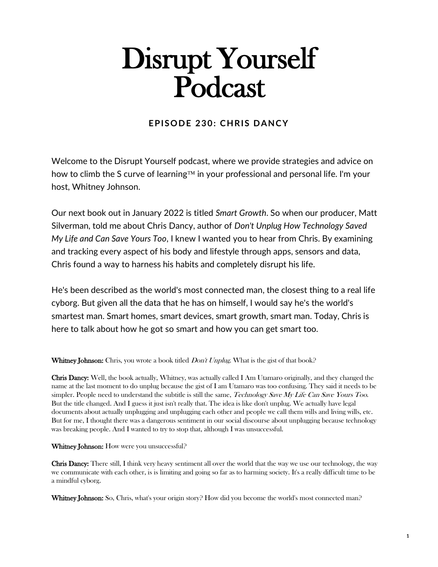# Disrupt Yourself Podcast

## **EPISODE 230: CHRIS DANCY**

Welcome to the Disrupt Yourself podcast, where we provide strategies and advice on how to climb the S curve of learning  $TM$  in your professional and personal life. I'm your host, Whitney Johnson.

Our next book out in January 2022 is titled *Smart Growth*. So when our producer, Matt Silverman, told me about Chris Dancy, author of *Don't Unplug How Technology Saved My Life and Can Save Yours Too*, I knew I wanted you to hear from Chris. By examining and tracking every aspect of his body and lifestyle through apps, sensors and data, Chris found a way to harness his habits and completely disrupt his life.

He's been described as the world's most connected man, the closest thing to a real life cyborg. But given all the data that he has on himself, I would say he's the world's smartest man. Smart homes, smart devices, smart growth, smart man. Today, Chris is here to talk about how he got so smart and how you can get smart too.

Whitney Johnson: Chris, you wrote a book titled *Don't Unplug*. What is the gist of that book?

Chris Dancy: Well, the book actually, Whitney, was actually called I Am Utamaro originally, and they changed the name at the last moment to do unplug because the gist of I am Utamaro was too confusing. They said it needs to be simpler. People need to understand the subtitle is still the same, Technology Save My Life Can Save Yours Too. But the title changed. And I guess it just isn't really that. The idea is like don't unplug. We actually have legal documents about actually unplugging and unplugging each other and people we call them wills and living wills, etc. But for me, I thought there was a dangerous sentiment in our social discourse about unplugging because technology was breaking people. And I wanted to try to stop that, although I was unsuccessful.

### Whitney Johnson: How were you unsuccessful?

Chris Dancy: There still, I think very heavy sentiment all over the world that the way we use our technology, the way we communicate with each other, is is limiting and going so far as to harming society. It's a really difficult time to be a mindful cyborg.

Whitney Johnson: So, Chris, what's your origin story? How did you become the world's most connected man?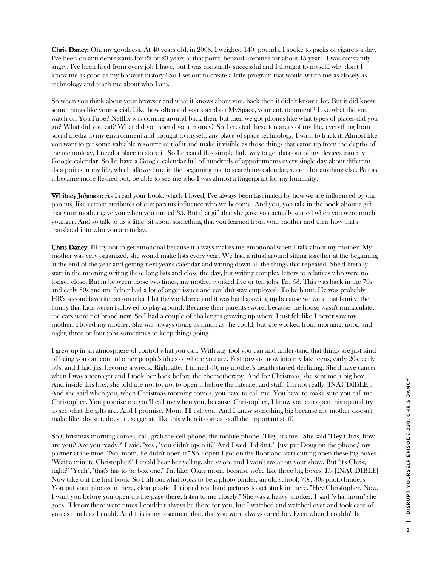Chris Dancy: Oh, my goodness. At 40 years old, in 2008, I weighed 140 pounds, I spoke to packs of cigarets a day, I've been on anti-depressants for 22 or 23 years at that point, benzodiazepines for about 15 years. I was constantly angry. I've been fired from every job I have, but I was constantly successful and I thought to myself, why don't I know me as good as my browser history? So I set out to create a little program that would watch me as closely as technology and teach me about who I am.

So when you think about your browser and what it knows about you, back then it didn't know a lot. But it did know some things like your social. Like how often did you spend on MySpace, your entertainment? Like what did you watch on YouTube? Netflix was coming around back then, but then we got phones like what types of places did you go? What did you eat? What did you spend your money? So I created these ten areas of my life, everything from social media to my environment and thought to myself, any place of space technology, I want to frack it. Almost like you want to get some valuable resource out of it and make it visible as those things that came up from the depths of the technology, I need a place to store it. So I created this simple little way to get data out of my devices into my Google calendar. So I'd have a Google calendar full of hundreds of appointments every single day about different data points in my life, which allowed me in the beginning just to search my calendar, search for anything else. But as it became more fleshed out, be able to see me who I was almost a fingerprint for my humanity.

Whitney Johnson: As I read your book, which I loved, I've always been fascinated by how we are influenced by our parents, like certain attributes of our parents influence who we become. And you, you talk in the book about a gift that your mother gave you when you turned 35. But that gift that she gave you actually started when you were much younger. And so talk to us a little bit about something that you learned from your mother and then how that's translated into who you are today.

Chris Dancy: I'll try not to get emotional because it always makes me emotional when I talk about my mother. My mother was very organized, she would make lists every year. We had a ritual around sitting together at the beginning at the end of the year and getting next year's calendar and writing down all the things that repeated. She'd literally start in the morning writing these long lists and close the day, but writing complex letters to relatives who were no longer close. But in between those two times, my mother worked five or ten jobs. I'm 53. This was back in the 70s and early 80s and my father had a lot of anger issues and couldn't stay employed. To be blunt. He was probably HR's second favorite person after I hit the workforce and it was hard growing up because we were that family, the family that kids weren't allowed to play around. Because their parents swore, because the house wasn't immaculate, the cars were not brand new. So I had a couple of challenges growing up where I just felt like I never saw my mother. I loved my mother. She was always doing as much as she could, but she worked from morning, noon and night, three or four jobs sometimes to keep things going.

I grew up in an atmosphere of control what you can. With any tool you can and understand that things are just kind of being you can control other people's ideas of where you are. Fast forward now into my late teens, early 20s, early 30s, and I had just become a wreck. Right after I turned 30, my mother's health started declining. She'd have cancer when I was a teenager and I took her back before the chemotherapy. And for Christmas, she sent me a big box. And inside this box, she told me not to, not to open it before the internet and stuff. I'm not really [INAUDIBLE]. And she said when you, when Christmas morning comes, you have to call me. You have to make sure you call me Christopher. You promise me you'll call me when you, because, Christopher, I know you can open this up and try to see what the gifts are. And I promise, Mom, I'll call you. And I knew something big because my mother doesn't make like, doesn't, doesn't exaggerate like this when it comes to all the important stuff.

So Christmas morning comes, call, grab the cell phone, the mobile phone. "Hey, it's me." She said "Hey Chris, how are you? Are you ready?" I said, "yes", "you didn't open it?" And I said "I didn't." "Just put Doug on the phone," my partner at the time. "No, mom, he didn't open it." So I open I got on the floor and start cutting open these big boxes. "Wait a minute Christopher!" I could hear her yelling, she swore and I won't swear on your show. But "it's Chris, right?" "Yeah", "that's has to be box one." I'm like, Okay mom, because we're like three big boxes. It's [INAUDIBLE] Now take out the first book. So I lift out what looks to be a photo binder, an old school, 70s, 80s photo binders. You put your photos in there, clear plastic. It ripped real hard pictures to get stuck in there. "Hey Christopher. Now, I want you before you open up the page there, listen to me closely." She was a heavy smoker, I said "what mom" she goes, "I know there were times I couldn't always be there for you, but I watched and watched over and took care of you as much as I could. And this is my testament that, that you were always cared for. Even when I couldn't be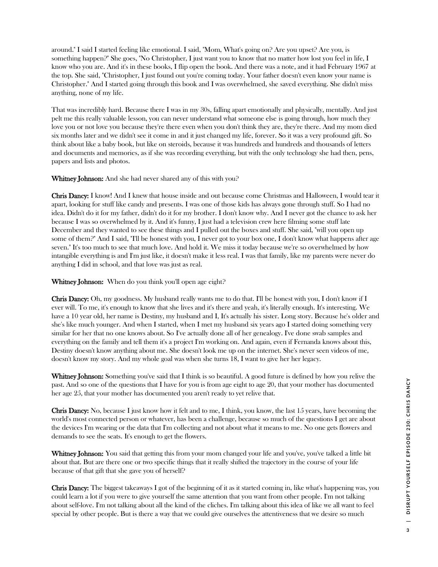around." I said I started feeling like emotional. I said, "Mom, What's going on? Are you upset? Are you, is something happen?" She goes, "No Christopher, I just want you to know that no matter how lost you feel in life, I know who you are. And it's in these books, I flip open the book. And there was a note, and it had February 1967 at the top. She said, "Christopher, I just found out you're coming today. Your father doesn't even know your name is Christopher." And I started going through this book and I was overwhelmed, she saved everything. She didn't miss anything, none of my life.

That was incredibly hard. Because there I was in my 30s, falling apart emotionally and physically, mentally. And just pelt me this really valuable lesson, you can never understand what someone else is going through, how much they love you or not love you because they're there even when you don't think they are, they're there. And my mom died six months later and we didn't see it come in and it just changed my life, forever. So it was a very profound gift. So think about like a baby book, but like on steroids, because it was hundreds and hundreds and thousands of letters and documents and memories, as if she was recording everything, but with the only technology she had then, pens, papers and lists and photos.

Whitney Johnson: And she had never shared any of this with you?

Chris Dancy: I know! And I knew that house inside and out because come Christmas and Halloween, I would tear it apart, looking for stuff like candy and presents. I was one of those kids has always gone through stuff. So I had no idea. Didn't do it for my father, didn't do it for my brother. I don't know why. And I never got the chance to ask her because I was so overwhelmed by it. And it's funny, I just had a television crew here filming some stuff late December and they wanted to see these things and I pulled out the boxes and stuff. She said, "will you open up some of them?" And I said, "I'll be honest with you, I never got to your box one, I don't know what happens after age seven." It's too much to see that much love. And hold it. We miss it today because we're so overwhelmed by how intangible everything is and I'm just like, it doesn't make it less real. I was that family, like my parents were never do anything I did in school, and that love was just as real.

Whitney Johnson: When do you think you'll open age eight?

Chris Dancy: Oh, my goodness. My husband really wants me to do that. I'll be honest with you, I don't know if I ever will. To me, it's enough to know that she lives and it's there and yeah, it's literally enough. It's interesting. We have a 10 year old, her name is Destiny, my husband and I, It's actually his sister. Long story. Because he's older and she's like much younger. And when I started, when I met my husband six years ago I started doing something very similar for her that no one knows about. So I've actually done all of her genealogy. I've done swab samples and everything on the family and tell them it's a project I'm working on. And again, even if Fernanda knows about this, Destiny doesn't know anything about me. She doesn't look me up on the internet. She's never seen videos of me, doesn't know my story. And my whole goal was when she turns 18, I want to give her her legacy.

Whitney Johnson: Something you've said that I think is so beautiful. A good future is defined by how you relive the past. And so one of the questions that I have for you is from age eight to age 20, that your mother has documented her age 25, that your mother has documented you aren't ready to yet relive that.

Chris Dancy: No, because I just know how it felt and to me, I think, you know, the last 15 years, have becoming the world's most connected person or whatever, has been a challenge, because so much of the questions I get are about the devices I'm wearing or the data that I'm collecting and not about what it means to me. No one gets flowers and demands to see the seats. It's enough to get the flowers.

Whitney Johnson: You said that getting this from your mom changed your life and you've, you've talked a little bit about that. But are there one or two specific things that it really shifted the trajectory in the course of your life because of that gift that she gave you of herself?

Chris Dancy: The biggest takeaways I got of the beginning of it as it started coming in, like what's happening was, you could learn a lot if you were to give yourself the same attention that you want from other people. I'm not talking about self-love. I'm not talking about all the kind of the cliches. I'm talking about this idea of like we all want to feel special by other people. But is there a way that we could give ourselves the attentiveness that we desire so much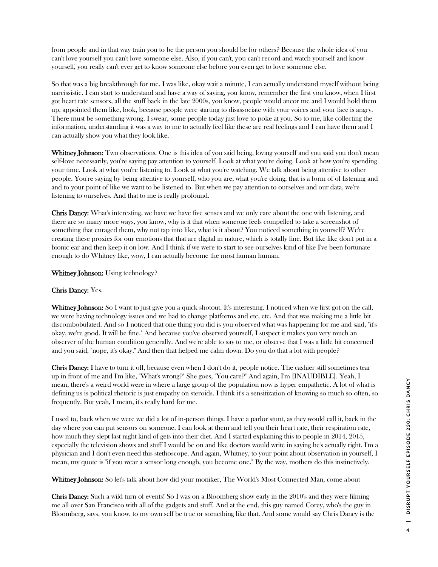from people and in that way train you to be the person you should be for others? Because the whole idea of you can't love yourself you can't love someone else. Also, if you can't, you can't record and watch yourself and know yourself, you really can't ever get to know someone else before you even get to love someone else.

So that was a big breakthrough for me. I was like, okay wait a minute, I can actually understand myself without being narcissistic. I can start to understand and have a way of saying, you know, remember the first you know, when I first got heart rate sensors, all the stuff back in the late 2000s, you know, people would ancor me and I would hold them up, appointed them like, look, because people were starting to disassociate with your voices and your face is angry. There must be something wrong. I swear, some people today just love to poke at you. So to me, like collecting the information, understanding it was a way to me to actually feel like these are real feelings and I can have them and I can actually show you what they look like.

Whitney Johnson: Two observations. One is this idea of you said being, loving yourself and you said you don't mean self-love necessarily, you're saying pay attention to yourself. Look at what you're doing. Look at how you're spending your time. Look at what you're listening to. Look at what you're watching. We talk about being attentive to other people. You're saying by being attentive to yourself, who you are, what you're doing, that is a form of of listening and and to your point of like we want to be listened to. But when we pay attention to ourselves and our data, we're listening to ourselves. And that to me is really profound.

Chris Dancy: What's interesting, we have we have five senses and we only care about the one with listening, and there are so many more ways, you know, why is it that when someone feels compelled to take a screenshot of something that enraged them, why not tap into like, what is it about? You noticed something in yourself? We're creating these proxies for our emotions that that are digital in nature, which is totally fine. But like like don't put in a bionic ear and then keep it on low. And I think if we were to start to see ourselves kind of like I've been fortunate enough to do Whitney like, wow, I can actually become the most human human.

Whitney Johnson: Using technology?

#### Chris Dancy: Yes.

Whitney Johnson: So I want to just give you a quick shotout. It's interesting. I noticed when we first got on the call, we were having technology issues and we had to change platforms and etc, etc. And that was making me a little bit discombobulated. And so I noticed that one thing you did is you observed what was happening for me and said, "it's okay, we're good. It will be fine." And because you've observed yourself, I suspect it makes you very much an observer of the human condition generally. And we're able to say to me, or observe that I was a little bit concerned and you said, "nope, it's okay." And then that helped me calm down. Do you do that a lot with people?

Chris Dancy: I have to turn it off, because even when I don't do it, people notice. The cashier still sometimes tear up in front of me and I'm like, "What's wrong?" She goes, "You care?" And again, I'm [INAUDIBLE]. Yeah, I mean, there's a weird world were in where a large group of the population now is hyper empathetic. A lot of what is defining us is political rhetoric is just empathy on steroids. I think it's a sensitization of knowing so much so often, so frequently. But yeah, I mean, it's really hard for me.

I used to, back when we were we did a lot of in-person things. I have a parlor stunt, as they would call it, back in the day where you can put sensors on someone. I can look at them and tell you their heart rate, their respiration rate, how much they slept last night kind of gets into their diet. And I started explaining this to people in 2014, 2015, especially the television shows and stuff I would be on and like doctors would write in saying he's actually right. I'm a physician and I don't even need this stethoscope. And again, Whitney, to your point about observation in yourself, I mean, my quote is "if you wear a sensor long enough, you become one." By the way, mothers do this instinctively.

Whitney Johnson: So let's talk about how did your moniker, The World's Most Connected Man, come about

Chris Dancy: Such a wild turn of events! So I was on a Bloomberg show early in the 2010's and they were filming me all over San Francisco with all of the gadgets and stuff. And at the end, this guy named Corey, who's the guy in Bloomberg, says, you know, to my own self be true or something like that. And some would say Chris Dancy is the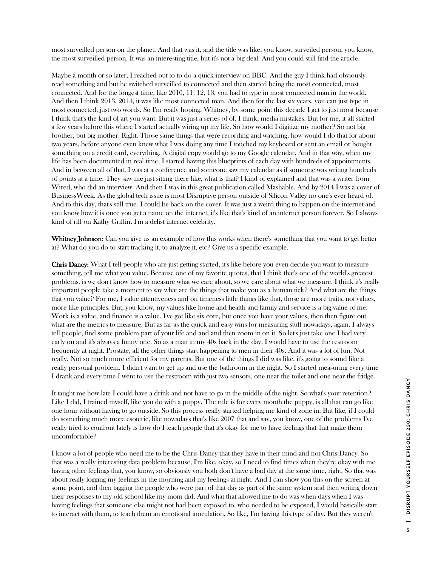most surveilled person on the planet. And that was it, and the title was like, you know, surveiled person, you know, the most surveilled person. It was an interesting title, but it's not a big deal. And you could still find the article.

Maybe a month or so later, I reached out to to do a quick interview on BBC. And the guy I think had obviously read something and but he switched surveilled to connected and then started being the most connected, most connected. And for the longest time, like 2010, 11, 12, 13, you had to type in most connected man in the world. And then I think 2013, 2014, it was like most connected man. And then for the last six years, you can just type in most connected, just two words. So I'm really hoping, Whitney, by some point this decade I get to just most because I think that's the kind of art you want. But it was just a series of of, I think, media mistakes. But for me, it all started a few years before this where I started actually wiring up my life. So how would I digitize my mother? So not big brother, but big mother. Right. Those same things that were recording and watching, how would I do that for about two years, before anyone even knew what I was doing any time I touched my keyboard or sent an email or bought something on a credit card, everything. A digital copy would go to my Google calendar. And in that way, when my life has been documented in real time, I started having this blueprints of each day with hundreds of appointments. And in between all of that, I was at a conference and someone saw my calendar as if someone was writing hundreds of points at a time. They saw me just sitting there like, what is that? I kind of explained and that was a writer from Wired, who did an interview. And then I was in this great publication called Mashable. And by 2014 I was a cover of BusinessWeek. As the global tech issue is most Disruptive person outside of Silicon Valley no one's ever heard of. And to this day, that's still true. I could be back on the cover. It was just a weird thing to happen on the internet and you know how it is once you get a name on the internet, it's like that's kind of an internet person forever. So I always kind of riff on Kathy Griffin. I'm a delist internet celebrity.

**Whitney Johnson:** Can you give us an example of how this works when there's something that you want to get better at? What do you do to start tracking it, to analyze it, etc? Give us a specific example.

Chris Dancy: What I tell people who are just getting started, it's like before you even decide you want to measure something, tell me what you value. Because one of my favorite quotes, that I think that's one of the world's greatest problems, is we don't know how to measure what we care about, so we care about what we measure. I think it's really important people take a moment to say what are the things that make you as a human tick? And what are the things that you value? For me, I value attentiveness and on timeness little things like that, those are more traits, not values, more like principles. But, you know, my values like home and health and family and service is a big value of me. Work is a value, and finance is a value. I've got like six core, but once you have your values, then then figure out what are the metrics to measure. But as far as the quick and easy wins for measuring stuff nowadays, again, I always tell people, find some problem part of your life and and and then zoom in on it. So let's just take one I had very early on and it's always a funny one. So as a man in my 40s back in the day, I would have to use the restroom frequently at night. Prostate, all the other things start happening to men in their 40s. And it was a lot of fun. Not really. Not so much more efficient for my parents. But one of the things I did was like, it's going to sound like a really personal problem. I didn't want to get up and use the bathroom in the night. So I started measuring every time I drank and every time I went to use the restroom with just two sensors, one near the toilet and one near the fridge.

It taught me how late I could have a drink and not have to go in the middle of the night. So what's your retention? Like I did, I trained myself, like you do with a puppy. The rule is for every month the puppy, is all that can go like one hour without having to go outside. So this process really started helping me kind of zone in. But like, if I could do something much more esoteric, like nowadays that's like 2007 that and say, you know, one of the problems I've really tried to confront lately is how do I teach people that it's okay for me to have feelings that that make them uncomfortable?

I know a lot of people who need me to be the Chris Dancy that they have in their mind and not Chris Dancy. So that was a really interesting data problem because, I'm like, okay, so I need to find times when they're okay with me having other feelings that, you know, so obviously you both don't have a bad day at the same time, right. So that was about really logging my feelings in the morning and my feelings at night. And I can show you this on the screen at some point, and then tagging the people who were part of that day as part of the same system and then writing down their responses to my old school like my mom did. And what that allowed me to do was when days when I was having feelings that someone else might not had been exposed to, who needed to be exposed, I would basically start to interact with them, to teach them an emotional inoculation. So like, I'm having this type of day. But they weren't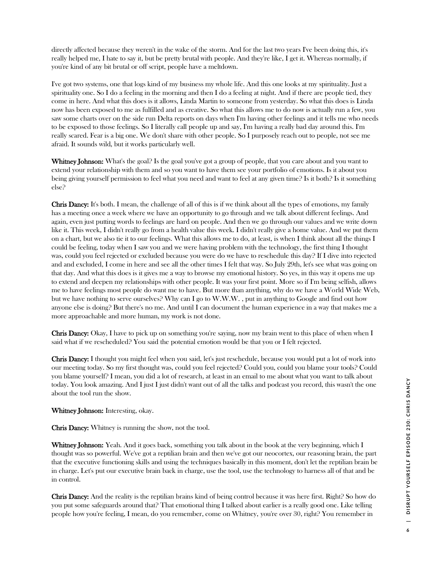directly affected because they weren't in the wake of the storm. And for the last two years I've been doing this, it's really helped me, I hate to say it, but be pretty brutal with people. And they're like, I get it. Whereas normally, if you're kind of any bit brutal or off script, people have a meltdown.

I've got two systems, one that logs kind of my business my whole life. And this one looks at my spirituality. Just a spirituality one. So I do a feeling in the morning and then I do a feeling at night. And if there are people tied, they come in here. And what this does is it allows, Linda Martin to someone from yesterday. So what this does is Linda now has been exposed to me as fulfilled and as creative. So what this allows me to do now is actually run a few, you saw some charts over on the side run Delta reports on days when I'm having other feelings and it tells me who needs to be exposed to those feelings. So I literally call people up and say, I'm having a really bad day around this. I'm really scared. Fear is a big one. We don't share with other people. So I purposely reach out to people, not see me afraid. It sounds wild, but it works particularly well.

Whitney Johnson: What's the goal? Is the goal you've got a group of people, that you care about and you want to extend your relationship with them and so you want to have them see your portfolio of emotions. Is it about you being giving yourself permission to feel what you need and want to feel at any given time? Is it both? Is it something else?

Chris Dancy: It's both. I mean, the challenge of all of this is if we think about all the types of emotions, my family has a meeting once a week where we have an opportunity to go through and we talk about different feelings. And again, even just putting words to feelings are hard on people. And then we go through our values and we write down like it. This week, I didn't really go from a health value this week. I didn't really give a home value. And we put them on a chart, but we also tie it to our feelings. What this allows me to do, at least, is when I think about all the things I could be feeling, today when I saw you and we were having problem with the technology, the first thing I thought was, could you feel rejected or excluded because you were do we have to reschedule this day? If I dive into rejected and and excluded, I come in here and see all the other times I felt that way. So July 29th, let's see what was going on that day. And what this does is it gives me a way to browse my emotional history. So yes, in this way it opens me up to extend and deepen my relationships with other people. It was your first point. More so if I'm being selfish, allows me to have feelings most people do want me to have. But more than anything, why do we have a World Wide Web, but we have nothing to serve ourselves? Why can I go to W.W.W. , put in anything to Google and find out how anyone else is doing? But there's no me. And until I can document the human experience in a way that makes me a more approachable and more human, my work is not done.

**Chris Dancy:** Okay, I have to pick up on something you're saying, now my brain went to this place of when when I said what if we rescheduled? You said the potential emotion would be that you or I felt rejected.

Chris Dancy: I thought you might feel when you said, let's just reschedule, because you would put a lot of work into our meeting today. So my first thought was, could you feel rejected? Could you, could you blame your tools? Could you blame yourself? I mean, you did a lot of research, at least in an email to me about what you want to talk about today. You look amazing. And I just I just didn't want out of all the talks and podcast you record, this wasn't the one about the tool run the show.

Whitney Johnson: Interesting, okay.

Chris Dancy: Whitney is running the show, not the tool.

Whitney Johnson: Yeah. And it goes back, something you talk about in the book at the very beginning, which I thought was so powerful. We've got a reptilian brain and then we've got our neocortex, our reasoning brain, the part that the executive functioning skills and using the techniques basically in this moment, don't let the reptilian brain be in charge. Let's put our executive brain back in charge, use the tool, use the technology to harness all of that and be in control.

Chris Dancy: And the reality is the reptilian brains kind of being control because it was here first. Right? So how do you put some safeguards around that? That emotional thing I talked about earlier is a really good one. Like telling people how you're feeling, I mean, do you remember, come on Whitney, you're over 30, right? You remember in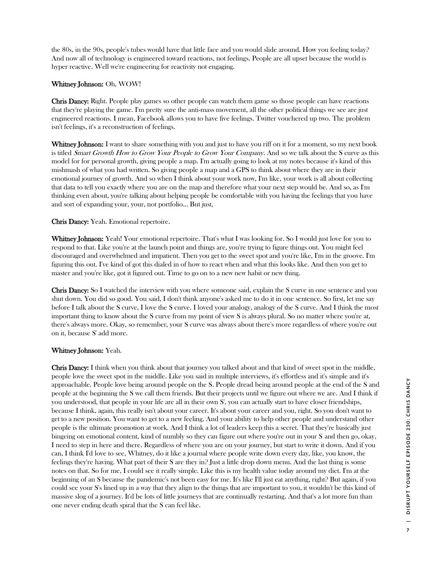the 80s, in the 90s, people's tubes would have that little face and you would slide around. How you feeling today? And now all of technology is engineered toward reactions, not feelings. People are all upset because the world is hyper reactive. Well we're engineering for reactivity not engaging.

#### Whitney Johnson: Oh, WOW!

Chris Dancy: Right. People play games so other people can watch them game so those people can have reactions that they're playing the game. I'm pretty sure the anti-mass movement, all the other political things we see are just engineered reactions. I mean, Facebook allows you to have five feelings. Twitter vouchered up two. The problem isn't feelings, it's a reconstruction of feelings.

Whitney Johnson: I want to share something with you and just to have you riff on it for a moment, so my next book is titled *Smart Growth How to Grow Your People to Grow Your Company*. And so we talk about the S curve as this model for for personal growth, giving people a map. I'm actually going to look at my notes because it's kind of this mishmash of what you had written. So giving people a map and a GPS to think about where they are in their emotional journey of growth. And so when I think about your work now, I'm like, your work is all about collecting that data to tell you exactly where you are on the map and therefore what your next step would be. And so, as I'm thinking even about, you're talking about helping people be comfortable with you having the feelings that you have and sort of expanding your, your, not portfolio... But just,

#### Chris Dancy: Yeah. Emotional repertoire.

Whitney Johnson: Yeah! Your emotional repertoire. That's what I was looking for. So I would just love for you to respond to that. Like you're at the launch point and things are, you're trying to figure things out. You might feel discouraged and overwhelmed and impatient. Then you get to the sweet spot and you're like, I'm in the groove. I'm figuring this out. I've kind of got this dialed in of how to react when and what this looks like. And then you get to master and you're like, got it figured out. Time to go on to a new new habit or new thing.

Chris Dancy: So I watched the interview with you where someone said, explain the S curve in one sentence and you shut down. You did so good. You said, I don't think anyone's asked me to do it in one sentence. So first, let me say before I talk about the S curve, I love the S curve. I loved your analogy, analogy of the S curve. And I think the most important thing to know about the S curve from my point of view S is always plural. So no matter where you're at, there's always more. Okay, so remember, your S curve was always about there's more regardless of where you're out on it, because S' add more.

#### Whitney Johnson: Yeah.

Chris Dancy: I think when you think about that journey you talked about and that kind of sweet spot in the middle, people love the sweet spot in the middle. Like you said in multiple interviews, it's effortless and it's simple and it's approachable. People love being around people on the S. People dread being around people at the end of the S and people at the beginning the S we call them friends. But their projects until we figure out where we are. And I think if you understood, that people in your life are all in their own S', you can actually start to have closer friendships, because I think, again, this really isn't about your career. It's about your career and you, right. So you don't want to get to a new position. You want to get to a new feeling. And your ability to help other people and understand other people is the ultimate promotion at work. And I think a lot of leaders keep this a secret. That they're basically just bingeing on emotional content, kind of numbly so they can figure out where you're out in your S and then go, okay, I need to step in here and there. Regardless of where you are on your journey, but start to write it down. And if you can, I think I'd love to see, Whitney, do it like a journal where people write down every day, like, you know, the feelings they're having. What part of their S are they in? Just a little drop down menu. And the last thing is some notes on that. So for me, I could see it really simple. Like this is my health value today around my diet. I'm at the beginning of an S because the pandemic's not been easy for me. It's like I'll just eat anything, right? But again, if you could see your S's lined up in a way that they align to the things that are important to you, it wouldn't be this kind of massive slog of a journey. It'd be lots of little journeys that are continually restarting. And that's a lot more fun than one never ending death spiral that the S can feel like.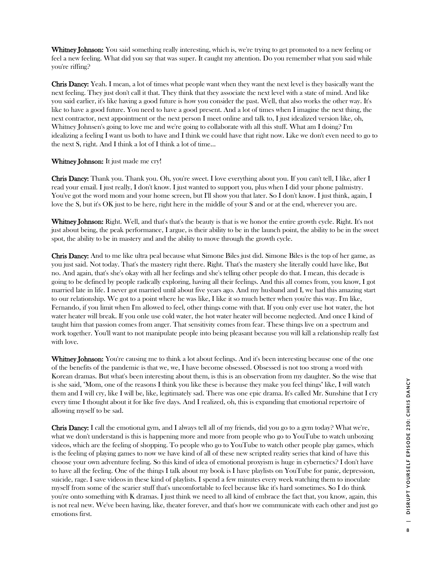Whitney Johnson: You said something really interesting, which is, we're trying to get promoted to a new feeling or feel a new feeling. What did you say that was super. It caught my attention. Do you remember what you said while you're riffing?

Chris Dancy: Yeah. I mean, a lot of times what people want when they want the next level is they basically want the next feeling. They just don't call it that. They think that they associate the next level with a state of mind. And like you said earlier, it's like having a good future is how you consider the past. Well, that also works the other way. It's like to have a good future. You need to have a good present. And a lot of times when I imagine the next thing, the next contractor, next appointment or the next person I meet online and talk to, I just idealized version like, oh, Whitney Johnsen's going to love me and we're going to collaborate with all this stuff. What am I doing? I'm idealizing a feeling I want us both to have and I think we could have that right now. Like we don't even need to go to the next S, right. And I think a lot of I think a lot of time...

#### Whitney Johnson: It just made me cry!

Chris Dancy: Thank you. Thank you. Oh, you're sweet. I love everything about you. If you can't tell, I like, after I read your email. I just really, I don't know. I just wanted to support you, plus when I did your phone palmistry. You've got the word mom and your home screen, but I'll show you that later. So I don't know. I just think, again, I love the S, but it's OK just to be here, right here in the middle of your S and or at the end, wherever you are.

Whitney Johnson: Right. Well, and that's that's the beauty is that is we honor the entire growth cycle. Right. It's not just about being, the peak performance, I argue, is their ability to be in the launch point, the ability to be in the sweet spot, the ability to be in mastery and and the ability to move through the growth cycle.

Chris Dancy: And to me like ultra peal because what Simone Biles just did. Simone Biles is the top of her game, as you just said. Not today. That's the mastery right there. Right. That's the mastery she literally could have like, But no. And again, that's she's okay with all her feelings and she's telling other people do that. I mean, this decade is going to be defined by people radically exploring, having all their feelings. And this all comes from, you know, I got married late in life. I never got married until about five years ago. And my husband and I, we had this amazing start to our relationship. We got to a point where he was like, I like it so much better when you're this way. I'm like, Fernando, if you limit when I'm allowed to feel, other things come with that. If you only ever use hot water, the hot water heater will break. If you onle use cold water, the hot water heater will become neglected. And once I kind of taught him that passion comes from anger. That sensitivity comes from fear. These things live on a spectrum and work together. You'll want to not manipulate people into being pleasant because you will kill a relationship really fast with love.

Whitney Johnson: You're causing me to think a lot about feelings. And it's been interesting because one of the one of the benefits of the pandemic is that we, we, I have become obsessed. Obsessed is not too strong a word with Korean dramas. But what's been interesting about them, is this is an observation from my daughter. So the wise that is she said, "Mom, one of the reasons I think you like these is because they make you feel things" like, I will watch them and I will cry, like I will be, like, legitimately sad. There was one epic drama. It's called Mr. Sunshine that I cry every time I thought about it for like five days. And I realized, oh, this is expanding that emotional repertoire of allowing myself to be sad.

Chris Dancy: I call the emotional gym, and I always tell all of my friends, did you go to a gym today? What we're, what we don't understand is this is happening more and more from people who go to YouTube to watch unboxing videos, which are the feeling of shopping. To people who go to YouTube to watch other people play games, which is the feeling of playing games to now we have kind of all of these new scripted reality series that kind of have this choose your own adventure feeling. So this kind of idea of emotional proxyism is huge in cybernetics? I don't have to have all the feeling. One of the things I talk about my book is I have playlists on YouTube for panic, depression, suicide, rage. I save videos in these kind of playlists. I spend a few minutes every week watching them to inoculate myself from some of the scarier stuff that's uncomfortable to feel because like it's hard sometimes. So I do think you're onto something with K dramas. I just think we need to all kind of embrace the fact that, you know, again, this is not real new. We've been having, like, theater forever, and that's how we communicate with each other and just go emotions first.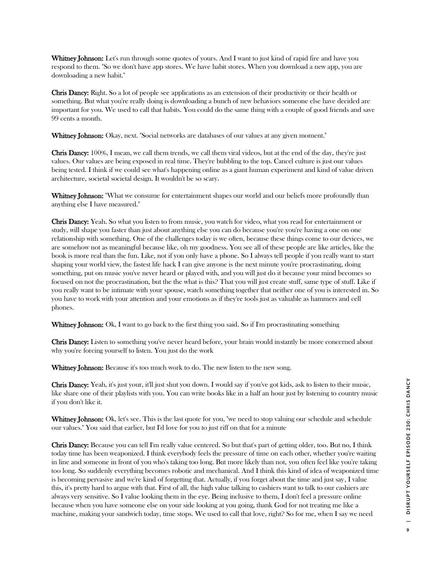Whitney Johnson: Let's run through some quotes of yours. And I want to just kind of rapid fire and have you respond to them. "So we don't have app stores. We have habit stores. When you download a new app, you are downloading a new habit."

Chris Dancy: Right. So a lot of people see applications as an extension of their productivity or their health or something. But what you're really doing is downloading a bunch of new behaviors someone else have decided are important for you. We used to call that habits. You could do the same thing with a couple of good friends and save 99 cents a month.

Whitney Johnson: Okay, next. "Social networks are databases of our values at any given moment."

Chris Dancy: 100%, I mean, we call them trends, we call them viral videos, but at the end of the day, they're just values. Our values are being exposed in real time. They're bubbling to the top. Cancel culture is just our values being tested. I think if we could see what's happening online as a giant human experiment and kind of value driven architecture, societal societal design. It wouldn't be so scary.

Whitney Johnson: "What we consume for entertainment shapes our world and our beliefs more profoundly than anything else I have measured."

Chris Dancy: Yeah. So what you listen to from music, you watch for video, what you read for entertainment or study, will shape you faster than just about anything else you can do because you're you're having a one on one relationship with something. One of the challenges today is we often, because these things come to our devices, we are somehow not as meaningful because like, oh my goodness. You see all of these people are like articles, like the book is more real than the fun. Like, not if you only have a phone. So I always tell people if you really want to start shaping your world view, the fastest life hack I can give anyone is the next minute you're procrastinating, doing something, put on music you've never heard or played with, and you will just do it because your mind becomes so focused on not the procrastination, but the the what is this? That you will just create stuff, same type of stuff. Like if you really want to be intimate with your spouse, watch something together that neither one of you is interested in. So you have to work with your attention and your emotions as if they're tools just as valuable as hammers and cell phones.

Whitney Johnson: Ok, I want to go back to the first thing you said. So if I'm procrastinating something

Chris Dancy: Listen to something you've never heard before, your brain would instantly be more concerned about why you're forcing yourself to listen. You just do the work

Whitney Johnson: Because it's too much work to do. The new listen to the new song.

Chris Dancy: Yeah, it's just your, it'll just shut you down. I would say if you've got kids, ask to listen to their music, like share one of their playlists with you. You can write books like in a half an hour just by listening to country music if you don't like it.

Whitney Johnson: Ok, let's see. This is the last quote for you, "we need to stop valuing our schedule and schedule our values." You said that earlier, but I'd love for you to just riff on that for a minute

Chris Dancy: Because you can tell I'm really value centered. So but that's part of getting older, too. But no, I think today time has been weaponized. I think everybody feels the pressure of time on each other, whether you're waiting in line and someone in front of you who's taking too long. But more likely than not, you often feel like you're taking too long. So suddenly everything becomes robotic and mechanical. And I think this kind of idea of weaponized time is becoming pervasive and we're kind of forgetting that. Actually, if you forget about the time and just say, I value this, it's pretty hard to argue with that. First of all, the high value talking to cashiers want to talk to our cashiers are always very sensitive. So I value looking them in the eye. Being inclusive to them, I don't feel a pressure online because when you have someone else on your side looking at you going, thank God for not treating me like a machine, making your sandwich today, time stops. We used to call that love, right? So for me, when I say we need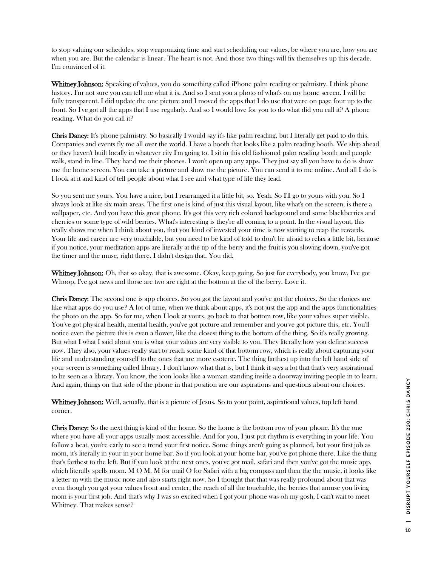to stop valuing our schedules, stop weaponizing time and start scheduling our values, be where you are, how you are when you are. But the calendar is linear. The heart is not. And those two things will fix themselves up this decade. I'm convinced of it.

Whitney Johnson: Speaking of values, you do something called iPhone palm reading or palmistry. I think phone history. I'm not sure you can tell me what it is. And so I sent you a photo of what's on my home screen. I will be fully transparent. I did update the one picture and I moved the apps that I do use that were on page four up to the front. So I've got all the apps that I use regularly. And so I would love for you to do what did you call it? A phone reading. What do you call it?

Chris Dancy: It's phone palmistry. So basically I would say it's like palm reading, but I literally get paid to do this. Companies and events fly me all over the world. I have a booth that looks like a palm reading booth. We ship ahead or they haven't built locally in whatever city I'm going to. I sit in this old fashioned palm reading booth and people walk, stand in line. They hand me their phones. I won't open up any apps. They just say all you have to do is show me the home screen. You can take a picture and show me the picture. You can send it to me online. And all I do is I look at it and kind of tell people about what I see and what type of life they lead.

So you sent me yours. You have a nice, but I rearranged it a little bit, so. Yeah. So I'll go to yours with you. So I always look at like six main areas. The first one is kind of just this visual layout, like what's on the screen, is there a wallpaper, etc. And you have this great phone. It's got this very rich colored background and some blackberries and cherries or some type of wild berries. What's interesting is they're all coming to a point. In the visual layout, this really shows me when I think about you, that you kind of invested your time is now starting to reap the rewards. Your life and career are very touchable, but you need to be kind of told to don't be afraid to relax a little bit, because if you notice, your meditation apps are literally at the tip of the berry and the fruit is you slowing down, you've got the timer and the muse, right there. I didn't design that. You did.

Whitney Johnson: Oh, that so okay, that is awesome. Okay, keep going. So just for everybody, you know, I've got Whoop, I've got news and those are two are right at the bottom at the of the berry. Love it.

Chris Dancy: The second one is app choices. So you got the layout and you've got the choices. So the choices are like what apps do you use? A lot of time, when we think about apps, it's not just the app and the apps functionalities the photo on the app. So for me, when I look at yours, go back to that bottom row, like your values super visible. You've got physical health, mental health, you've got picture and remember and you've got picture this, etc. You'll notice even the picture this is even a flower, like the closest thing to the bottom of the thing. So it's really growing. But what I what I said about you is what your values are very visible to you. They literally how you define success now. They also, your values really start to reach some kind of that bottom row, which is really about capturing your life and understanding yourself to the ones that are more esoteric. The thing farthest up into the left hand side of your screen is something called library. I don't know what that is, but I think it says a lot that that's very aspirational to be seen as a library. You know, the icon looks like a woman standing inside a doorway inviting people in to learn. And again, things on that side of the phone in that position are our aspirations and questions about our choices.

Whitney Johnson: Well, actually, that is a picture of Jesus. So to your point, aspirational values, top left hand corner.

Chris Dancy: So the next thing is kind of the home. So the home is the bottom row of your phone. It's the one where you have all your apps usually most accessible. And for you, I just put rhythm is everything in your life. You follow a beat, you're early to see a trend your first notice. Some things aren't going as planned, but your first job as mom, it's literally in your in your home bar. So if you look at your home bar, you've got phone there. Like the thing that's farthest to the left. But if you look at the next ones, you've got mail, safari and then you've got the music app, which literally spells mom. M O M. M for mail O for Safari with a big compass and then the the music, it looks like a letter m with the music note and also starts right now. So I thought that that was really profound about that was even though you got your values front and center, the reach of all the touchable, the berries that amuse you living mom is your first job. And that's why I was so excited when I got your phone was oh my gosh, I can't wait to meet Whitney. That makes sense?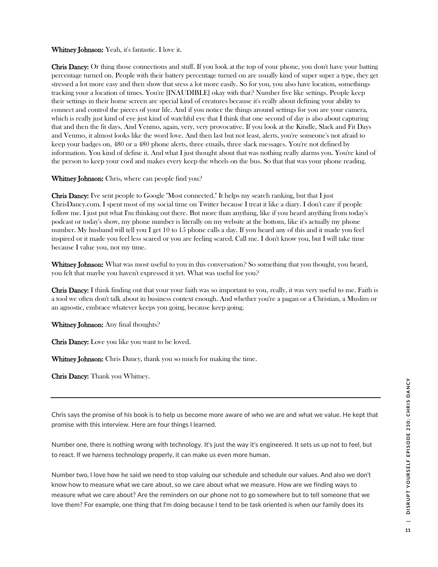#### Whitney Johnson: Yeah, it's fantastic. I love it.

Chris Dancy: Or thing those connections and stuff. If you look at the top of your phone, you don't have your batting percentage turned on. People with their battery percentage turned on are usually kind of super super a type, they get stressed a lot more easy and then show that sress a lot more easily. So for you, you also have location, somethings tracking your a location of times. You're [INAUDIBLE] okay with that? Number five like settings. People keep their settings in their home screen are special kind of creatures because it's really about defining your ability to connect and control the pieces of your life. And if you notice the things around settings for you are your camera, which is really just kind of eye just kind of watchful eye that I think that one second of day is also about capturing that and then the fit days. And Venmo, again, very, very provocative. If you look at the Kindle, Slack and Fit Days and Venmo, it almost looks like the word love. And then last but not least, alerts, you're someone's not afraid to keep your badges on, 480 or a 480 phone alerts, three emails, three slack messages. You're not defined by information. You kind of define it. And what I just thought about that was nothing really alarms you. You're kind of the person to keep your cool and makes every keep the wheels on the bus. So that that was your phone reading.

#### Whitney Johnson: Chris, where can people find you?

Chris Dancy: I've sent people to Google "Most connected." It helps my search ranking, but that I just ChrisDancy.com. I spent most of my social time on Twitter because I treat it like a diary. I don't care if people follow me. I just put what I'm thinking out there. But more than anything, like if you heard anything from today's podcast or today's show, my phone number is literally on my website at the bottom, like it's actually my phone number. My husband will tell you I get 10 to 15 phone calls a day. If you heard any of this and it made you feel inspired or it made you feel less scared or you are feeling scared. Call me. I don't know you, but I will take time because I value you, not my time.

Whitney Johnson: What was most useful to you in this conversation? So something that you thought, you heard, you felt that maybe you haven't expressed it yet. What was useful for you?

Chris Dancy: I think finding out that your your faith was so important to you, really, it was very useful to me. Faith is a tool we often don't talk about in business context enough. And whether you're a pagan or a Christian, a Muslim or an agnostic, embrace whatever keeps you going, because keep going.

Whitney Johnson: Any final thoughts?

Chris Dancy: Love you like you want to be loved.

Whitney Johnson: Chris Dancy, thank you so much for making the time.

Chris Dancy: Thank you Whitney.

Chris says the promise of his book is to help us become more aware of who we are and what we value. He kept that promise with this interview. Here are four things I learned.

Number one, there is nothing wrong with technology. It's just the way it's engineered. It sets us up not to feel, but to react. If we harness technology properly, it can make us even more human.

Number two, I love how he said we need to stop valuing our schedule and schedule our values. And also we don't know how to measure what we care about, so we care about what we measure. How are we finding ways to measure what we care about? Are the reminders on our phone not to go somewhere but to tell someone that we love them? For example, one thing that I'm doing because I tend to be task oriented is when our family does its